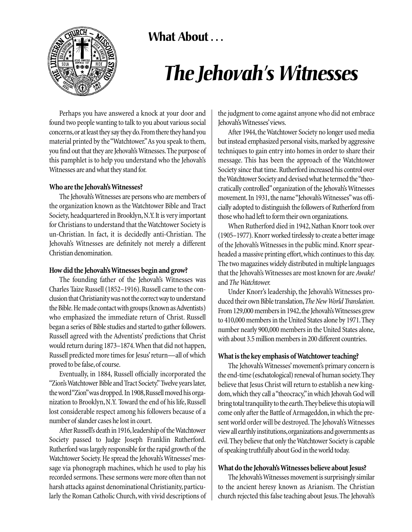



# *The Jehovah's Witnesses*

Perhaps you have answered a knock at your door and found two people wanting to talk to you about various social concerns,or at least they say they do.From there they hand you material printed by the "Watchtower."As you speak to them, you find out that they are Jehovah's Witnesses.The purpose of this pamphlet is to help you understand who the Jehovah's Witnesses are and what they stand for.

## **Who are the Jehovah's Witnesses?**

The Jehovah's Witnesses are persons who are members of the organization known as the Watchtower Bible and Tract Society, headquartered in Brooklyn, N.Y.It is very important for Christians to understand that the Watchtower Society is un-Christian. In fact, it is decidedly anti-Christian. The Jehovah's Witnesses are definitely not merely a different Christian denomination.

#### **How did the Jehovah's Witnesses begin and grow?**

The founding father of the Jehovah's Witnesses was Charles Taize Russell (1852–1916). Russell came to the conclusion that Christianity was not the correct way to understand the Bible. He made contact with groups (known as Adventists) who emphasized the immediate return of Christ. Russell began a series of Bible studies and started to gather followers. Russell agreed with the Adventists' predictions that Christ would return during 1873–1874.When that did not happen, Russell predicted more times for Jesus' return—all of which proved to be false, of course.

Eventually, in 1884, Russell officially incorporated the "Zion's Watchtower Bible and Tract Society." Twelve years later, the word "Zion" was dropped. In 1908, Russell moved his organization to Brooklyn, N.Y. Toward the end of his life, Russell lost considerable respect among his followers because of a number of slander cases he lost in court.

After Russell's death in 1916, leadership of the Watchtower Society passed to Judge Joseph Franklin Rutherford. Rutherford was largely responsible for the rapid growth of the Watchtower Society. He spread the Jehovah's Witnesses' message via phonograph machines, which he used to play his recorded sermons.These sermons were more often than not harsh attacks against denominational Christianity, particularly the Roman Catholic Church, with vivid descriptions of

the judgment to come against anyone who did not embrace Jehovah's Witnesses'views.

After 1944, the Watchtower Society no longer used media but instead emphasized personal visits,marked by aggressive techniques to gain entry into homes in order to share their message. This has been the approach of the Watchtower Society since that time. Rutherford increased his control over the Watchtower Society and devised what he termed the"theocratically controlled"organization of the Jehovah's Witnesses movement. In 1931, the name "Jehovah's Witnesses" was officially adopted to distinguish the followers of Rutherford from those who had left to form their own organizations.

When Rutherford died in 1942, Nathan Knorr took over (1905–1977). Knorr worked tirelessly to create a better image of the Jehovah's Witnesses in the public mind. Knorr spearheaded a massive printing effort, which continues to this day. The two magazines widely distributed in multiple languages that the Jehovah's Witnesses are most known for are *Awake!* and*The Watchtower.*

Under Knorr's leadership, the Jehovah's Witnesses produced their own Bible translation,*The New World Translation*. From 129,000 members in 1942, the Jehovah's Witnesses grew to 410,000 members in the United States alone by 1971.They number nearly 900,000 members in the United States alone, with about 3.5 million members in 200 different countries.

# **What is the key emphasis of Watchtower teaching?**

The Jehovah's Witnesses' movement's primary concern is the end-time (eschatological) renewal of human society.They believe that Jesus Christ will return to establish a new kingdom,which they call a "theocracy,"in which Jehovah God will bring total tranquility to the earth.They believe this utopia will come only after the Battle of Armageddon, in which the present world order will be destroyed. The Jehovah's Witnesses view all earthly institutions,organizations and governments as evil.They believe that only the Watchtower Society is capable of speaking truthfully about God in the world today.

# **What do the Jehovah's Witnesses believe about Jesus?**

The Jehovah's Witnesses movement is surprisingly similar to the ancient heresy known as Arianism. The Christian church rejected this false teaching about Jesus.The Jehovah's